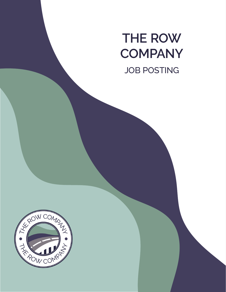# **THE ROW COMPANY** JOB POSTING

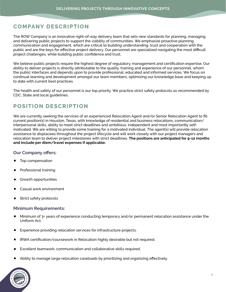## **COMPANY DESCRIPTION**

The ROW Company is an innovative right-of-way delivery team that sets new standards for planning, managing, and delivering public projects to support the viability of communities. We emphasize proactive planning, communication and engagement, which are critical to building understanding, trust and cooperation with the public and are the keys for effective project delivery. Our personnel are specialized navigating the most difficult project challenges, while building public confidence and trust.

We believe public projects require the highest degree of regulatory, management and certification expertise. Our ability to deliver projects is directly attributable to the quality, training and experience of our personnel, whom the public interfaces and depends upon to provide professional, educated and informed services. We focus on continual learning and development amongst our team members, optimizing our knowledge base and keeping up to date with current best practices.

The health and safety of our personnel is our top priority. We practice strict safety protocols as recommended by CDC, State and local guidelines.

## **POSITION DESCRIPTION**

We are currently seeking the services of an experienced Relocation Agent and/or Senior Relocation Agent to fill current position(s) in Houston, Texas, with knowledge of residential and business relocations, communication/ interpersonal skills, ability to meet strict deadlines and ambitious, independent and most importantly selfmotivated. We are willing to provide some training for a motivated individual. The agent(s) will provide relocation assistance to displacees throughout the project lifecycle and will work closely with our project managers and relocation team to deliver project milestones with strict deadlines. **The positions are anticipated for 9-12 months and include per diem/travel expenses if applicable.**

### **Our Company offers:**

- **•** Top compensation
- **•** Professional training
- **•** Growth opportunities
- **•** Casual work environment
- **•** Strict safety protocols

### **Minimum Requirements:**

- **•** Minimum of 3+ years of experience conducting temporary and/or permanent relocation assistance under the Uniform Act.
- **•** Experience providing relocation services for infrastructure projects.
- **•** IRWA certification/coursework in Relocation highly desirable but not required.
- **•** Excellent teamwork, communication and collaborative skills required.
- **•** Ability to manage large relocation caseloads by prioritizing and organizing effectively.